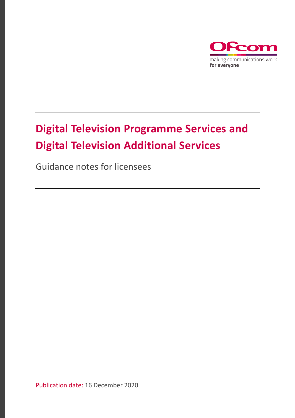

# **Digital Television Programme Services and Digital Television Additional Services**

Guidance notes for licensees

Publication date: 16 December 2020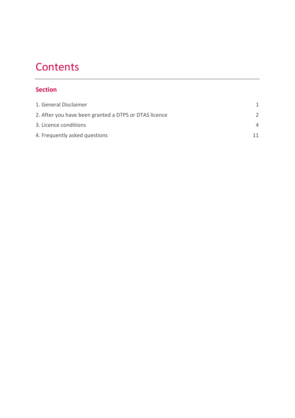# **Contents**

#### **Section**

| 1. General Disclaimer                                 |          |
|-------------------------------------------------------|----------|
| 2. After you have been granted a DTPS or DTAS licence |          |
| 3. Licence conditions                                 | $\Delta$ |
| 4. Frequently asked questions                         | 11       |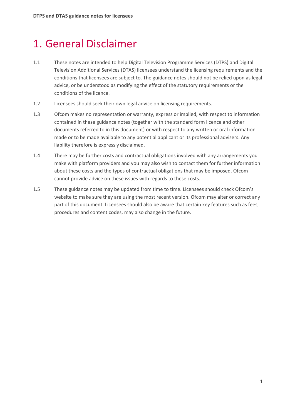# <span id="page-2-0"></span>1. General Disclaimer

- 1.1 These notes are intended to help Digital Television Programme Services (DTPS) and Digital Television Additional Services (DTAS) licensees understand the licensing requirements and the conditions that licensees are subject to. The guidance notes should not be relied upon as legal advice, or be understood as modifying the effect of the statutory requirements or the conditions of the licence.
- 1.2 Licensees should seek their own legal advice on licensing requirements.
- 1.3 Ofcom makes no representation or warranty, express or implied, with respect to information contained in these guidance notes (together with the standard form licence and other documents referred to in this document) or with respect to any written or oral information made or to be made available to any potential applicant or its professional advisers. Any liability therefore is expressly disclaimed.
- 1.4 There may be further costs and contractual obligations involved with any arrangements you make with platform providers and you may also wish to contact them for further information about these costs and the types of contractual obligations that may be imposed. Ofcom cannot provide advice on these issues with regards to these costs.
- 1.5 These guidance notes may be updated from time to time. Licensees should check Ofcom's website to make sure they are using the most recent version. Ofcom may alter or correct any part of this document. Licensees should also be aware that certain key features such as fees, procedures and content codes, may also change in the future.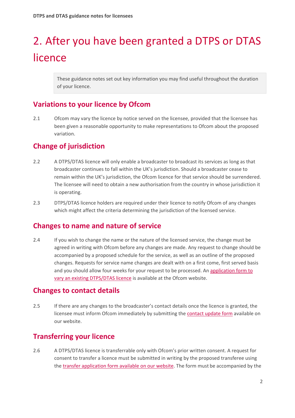# <span id="page-3-0"></span>2. After you have been granted a DTPS or DTAS licence

These guidance notes set out key information you may find useful throughout the duration of your licence.

## **Variations to your licence by Ofcom**

2.1 Ofcom may vary the licence by notice served on the licensee, provided that the licensee has been given a reasonable opportunity to make representations to Ofcom about the proposed variation.

#### **Change of jurisdiction**

- 2.2 A DTPS/DTAS licence will only enable a broadcaster to broadcast its services as long as that broadcaster continues to fall within the UK's jurisdiction. Should a broadcaster cease to remain within the UK's jurisdiction, the Ofcom licence for that service should be surrendered. The licensee will need to obtain a new authorisation from the country in whose jurisdiction it is operating.
- 2.3 DTPS/DTAS licence holders are required under their licence to notify Ofcom of any changes which might affect the criteria determining the jurisdiction of the licensed service.

#### **Changes to name and nature of service**

2.4 If you wish to change the name or the nature of the licensed service, the change must be agreed in writing with Ofcom before any changes are made. Any request to change should be accompanied by a proposed schedule for the service, as well as an outline of the proposed changes. Requests for service name changes are dealt with on a first come, first served basis and you should allow four weeks for your request to be processed. A[n application form to](https://www.ofcom.org.uk/__data/assets/pdf_file/0026/56933/application-to-vary-or-add-new-dtpsdtas-licence.pdf)  [vary an existing](https://www.ofcom.org.uk/__data/assets/pdf_file/0026/56933/application-to-vary-or-add-new-dtpsdtas-licence.pdf) DTPS/DTAS licence is available at the Ofcom website.

#### **Changes to contact details**

2.5 If there are any changes to the broadcaster's contact details once the licence is granted, the licensee must inform Ofcom immediately by submitting th[e contact update form](https://www.ofcom.org.uk/__data/assets/pdf_file/0017/4616/updateform.pdf) available on our website.

## **Transferring your licence**

2.6 A DTPS/DTAS licence is transferrable only with Ofcom's prior written consent. A request for consent to transfer a licence must be submitted in writing by the proposed transferee using the [transfer application form available on our website.](https://www.ofcom.org.uk/__data/assets/pdf_file/0015/32154/tlcs-transfer-application-form.pdf) The form must be accompanied by the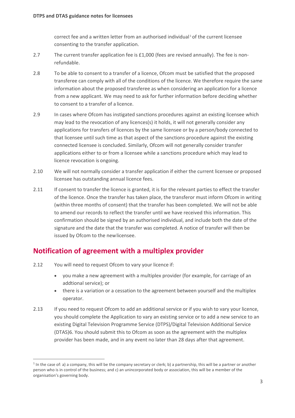correct fee and a written letter from an authorised individual [1](#page-4-0) of the current licensee consenting to the transfer application.

- 2.7 The current transfer application fee is £1,000 (fees are revised annually). The fee is nonrefundable.
- 2.8 To be able to consent to a transfer of a licence, Ofcom must be satisfied that the proposed transferee can comply with all of the conditions of the licence. We therefore require the same information about the proposed transferee as when considering an application for a licence from a new applicant. We may need to ask for further information before deciding whether to consent to a transfer of a licence.
- 2.9 In cases where Ofcom has instigated sanctions procedures against an existing licensee which may lead to the revocation of any licences(s) it holds, it will not generally consider any applications for transfers of licences by the same licensee or by a person/body connected to that licensee until such time as that aspect of the sanctions procedure against the existing connected licensee is concluded. Similarly, Ofcom will not generally consider transfer applications either to or from a licensee while a sanctions procedure which may lead to licence revocation is ongoing.
- 2.10 We will not normally consider a transfer application if either the current licensee or proposed licensee has outstanding annual licence fees.
- 2.11 If consent to transfer the licence is granted, it is for the relevant parties to effect the transfer of the licence. Once the transfer has taken place, the transferor must inform Ofcom in writing (within three months of consent) that the transfer has been completed. We will not be able to amend our records to reflect the transfer until we have received this information. This confirmation should be signed by an authorised individual, and include both the date of the signature and the date that the transfer was completed. A notice of transfer will then be issued by Ofcom to the newlicensee.

## **Notification of agreement with a multiplex provider**

- 2.12 You will need to request Ofcom to vary your licence if:
	- you make a new agreement with a multiplex provider (for example, for carriage of an addtional service); or
	- there is a variation or a cessation to the agreement between yourself and the multiplex operator.
- 2.13 If you need to request Ofcom to add an additional service or if you wish to vary your licence, you should complete the Application to vary an existing service or to add a new service to an existing Digital Television Programme Service (DTPS)/Digital Television Additional Service (DTAS)6. You should submit this to Ofcom as soon as the agreement with the multiplex provider has been made, and in any event no later than 28 days after that agreement.

<span id="page-4-0"></span> $1$  In the case of: a) a company, this will be the company secretary or clerk; b) a partnership, this will be a partner or another person who is in control of the business; and c) an unincorporated body or association, this will be a member of the organisation's governing body.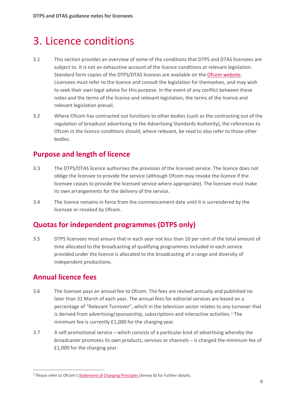# <span id="page-5-0"></span>3. Licence conditions

- 3.1 This section provides an overview of some of the conditions that DTPS and DTAS licensees are subject to. It is not an exhaustive account of the licence conditions or relevant legislation. Standard form copies of the DTPS/DTAS licences are available on the [Ofcom website.](https://www.ofcom.org.uk/manage-your-licence/tv-broadcast-licences/apply-for-a-tv-broadcast-licence) Licensees must refer to the licence and consult the legislation for themselves, and may wish to seek their own legal advice for this purpose. In the event of any conflict between these notes and the terms of the licence and relevant legislation, the terms of the licence and relevant legislation prevail.
- 3.2 Where Ofcom has contracted out functions to other bodies (such as the contracting out of the regulation of broadcast advertising to the Advertising Standards Authority), the references to Ofcom in the licence conditions should, where relevant, be read to also refer to those other bodies.

# **Purpose and length of licence**

- 3.3 The DTPS/DTAS licence authorises the provision of the licensed service. The licence does not oblige the licensee to provide the service (although Ofcom may revoke the licence if the licensee ceases to provide the licensed service where appropriate). The licensee must make its own arrangements for the delivery of the service.
- 3.4 The licence remains in force from the commencement date until it is surrendered by the licensee or revoked by Ofcom.

## **Quotas for independent programmes (DTPS only)**

3.5 DTPS licensees must ensure that in each year not less than 10 per cent of the total amount of time allocated to the broadcasting of qualifying programmes included in each service provided under the licence is allocated to the broadcasting of a range and diversity of independent productions.

# **Annual licence fees**

- 3.6 The licensee pays an annual fee to Ofcom. The fees are revised annually and published no later than 31 March of each year. The annual fees for editorial services are based on a percentage of "Relevant Turnover", which in the television sector relates to any turnover that is derived from advertising/sponsorship, subscriptions and interactive activities.<sup>[2](#page-5-1)</sup> The minimum fee is currently £1,000 for the charging year.
- 3.7 A self-promotional service which consists of a particular kind of advertising whereby the broadcaster promotes its own products, services or channels – is charged the minimum fee of £1,000 for the charging year.

<span id="page-5-1"></span><sup>&</sup>lt;sup>2</sup> Please refer to Ofcom'[s Statement of Charging Principles \(](http://stakeholders.ofcom.org.uk/binaries/consultations/socp/statement/charging_principles.pdf)Annex B) for further details.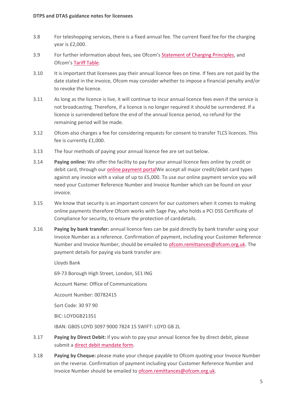- 3.8 For teleshopping services, there is a fixed annual fee. The current fixed fee for the charging year is £2,000.
- 3.9 For further information about fees, see Ofcom's **Statement of Charging Principles**, and Ofcom's Tariff [Table.](https://www.ofcom.org.uk/about-ofcom/annual-reports-and-plans)
- 3.10 It is important that licensees pay their annual licence fees on time. If fees are not paid by the date stated in the invoice, Ofcom may consider whether to impose a financial penalty and/or to revoke the licence.
- 3.11 As long as the licence is live, it will continue to incur annual licence fees even if the service is not broadcasting. Therefore, if a licence is no longer required it should be surrendered. If a licence is surrendered before the end of the annual licence period, no refund for the remaining period will be made.
- 3.12 Ofcom also charges a fee for considering requests for consent to transfer TLCS licences. This fee is currently £1,000.
- 3.13 The four methods of paying your annual licence fee are set out below.
- 3.14 **Paying online:** We offer the facility to pay for your annual licence fees online by credit or debit card, through our [online payment portalW](https://secure.ofcom.org.uk/payments/welcome.php)e accept all major credit/debit card types against any invoice with a value of up to £5,000. To use our online payment service you will need your Customer Reference Number and Invoice Number which can be found on your invoice.
- 3.15 We know that security is an important concern for our customers when it comes to making online payments therefore Ofcom works with Sage Pay, who holds a PCI DSS Certificate of Compliance for security, to ensure the protection of carddetails.
- 3.16 **Paying by bank transfer:** annual licence fees can be paid directly by bank transfer using your Invoice Number as a reference. Confirmation of payment, including your Customer Reference Number and Invoice Number, should be emailed to [ofcom.remittances@ofcom.org.uk.](mailto:ofcom.remittances@ofcom.org.uk) The payment details for paying via bank transfer are:

Lloyds Bank

69-73 Borough High Street, London, SE1 ING

Account Name: Office of Communications

Account Number: 00782415

Sort Code: 30 97 90

BIC: LOYDGB21351

IBAN: GB05 LOYD 3097 9000 7824 15 SWIFT: LOYD GB 2L

- 3.17 **Paying by Direct Debit:** if you wish to pay your annual licence fee by direct debit, please submit [a direct debit mandate form.](https://www.ofcom.org.uk/__data/assets/pdf_file/0012/5421/ddi-mandate.pdf)
- 3.18 **Paying by Cheque:** please make your cheque payable to Ofcom quoting your Invoice Number on the reverse. Confirmation of payment including your Customer Reference Number and Invoice Number should be emailed to [ofcom.remittances@ofcom.org.uk.](mailto:ofcom.remittances@ofcom.org.uk)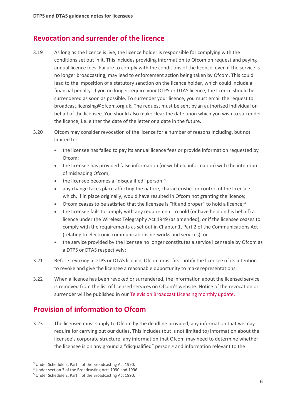#### **Revocation and surrender of the licence**

- 3.19 As long as the licence is live, the licence holder is responsible for complying with the conditions set out in it. This includes providing information to Ofcom on request and paying annual licence fees. Failure to comply with the conditions of the licence, even if the service is no longer broadcasting, may lead to enforcement action being taken by Ofcom. This could lead to the imposition of a statutory sanction on the licence holder, which could include a financial penalty. If you no longer require your DTPS or DTAS licence, the licence should be surrendered as soon as possible. To surrender your licence, you must email the request to broadcast.licensing@ofcom.org.uk. The request must be sent by an authorised individual on behalf of the licensee. You should also make clear the date upon which you wish to surrender the licence, i.e. either the date of the letter or a date in the future.
- 3.20 Ofcom may consider revocation of the licence for a number of reasons including, but not limited to:
	- the licensee has failed to pay its annual licence fees or provide information requested by Ofcom;
	- the licensee has provided false information (or withheld information) with the intention of misleading Ofcom;
	- the licensee becomes a "disqualified" person;<sup>[3](#page-7-0)</sup>
	- any change takes place affecting the nature, characteristics or control of the licensee which, if in place originally, would have resulted in Ofcom not granting the licence;
	- Ofcom ceases to be satisfied that the licensee is "fit and proper" to hold a licence;<sup>[4](#page-7-1)</sup>
	- the licensee fails to comply with any requirement to hold (or have held on his behalf) a licence under the Wireless Telegraphy Act 1949 (as amended), or if the licensee ceases to comply with the requirements as set out in Chapter 1, Part 2 of the Communications Act (relating to electronic communications networks and services); or
	- the service provided by the licensee no longer constitutes a service licensable by Ofcom as a DTPS or DTAS respectively;
- 3.21 Before revoking a DTPS or DTAS licence, Ofcom must first notify the licensee of its intention to revoke and give the licensee a reasonable opportunity to make representations.
- 3.22 When a licence has been revoked or surrendered, the information about the licensed service is removed from the list of licensed services on Ofcom's website. Notice of the revocation or surrender will be published in our Television [Broadcast Licensing monthly](https://www.ofcom.org.uk/manage-your-licence/tv-broadcast-licences/updates) update.

## **Provision of information to Ofcom**

3.23 The licensee must supply to Ofcom by the deadline provided, any information that we may require for carrying out our duties. This includes (but is not limited to) information about the licensee's corporate structure, any information that Ofcom may need to determine whether the licensee is on any ground a "disqualified" person, [5](#page-7-2) and information relevant to the

<span id="page-7-0"></span><sup>3</sup> Under Schedule 2, Part II of the Broadcasting Act 1990.

<span id="page-7-1"></span><sup>4</sup> Under section 3 of the Broadcasting Acts 1990 and 1996.

<span id="page-7-2"></span><sup>5</sup> Under Schedule 2, Part II of the Broadcasting Act 1990.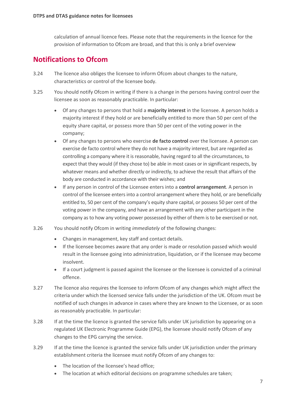calculation of annual licence fees. Please note thatthe requirements in the licence for the provision of information to Ofcom are broad, and that this is only a brief overview

#### **Notifications to Ofcom**

- 3.24 The licence also obliges the licensee to inform Ofcom about changes to the nature, characteristics or control of the licensee body.
- 3.25 You should notify Ofcom in writing if there is a change in the persons having control over the licensee as soon as reasonably practicable. In particular:
	- Of any changes to persons that hold a **majority interest** in the licensee. A person holds a majority interest if they hold or are beneficially entitled to more than 50 per cent of the equity share capital, or possess more than 50 per cent of the voting power in the company;
	- Of any changes to persons who exercise **de facto control** over the licensee. A person can exercise de facto control where they do not have a majority interest, but are regarded as controlling a company where it is reasonable, having regard to all the circumstances, to expect that they would (if they chose to) be able in most cases or in significant respects, by whatever means and whether directly or indirectly, to achieve the result that affairs of the body are conducted in accordance with their wishes; and
	- If any person in control of the Licensee enters into a **control arrangement**. A person in control of the licensee enters into a control arrangement where they hold, or are beneficially entitled to, 50 per cent of the company's equity share capital, or possess 50 per cent of the voting power in the company, and have an arrangement with any other participant in the company as to how any voting power possessed by either of them is to be exercised or not.
- 3.26 You should notify Ofcom in writing *immediately* of the following changes:
	- Changes in management, key staff and contact details.
	- If the licensee becomes aware that any order is made or resolution passed which would result in the licensee going into administration, liquidation, or if the licensee may become insolvent.
	- If a court judgment is passed against the licensee or the licensee is convicted of a criminal offence.
- 3.27 The licence also requires the licensee to inform Ofcom of any changes which might affect the criteria under which the licensed service falls under the jurisdiction of the UK. Ofcom must be notified of such changes in advance in cases where they are known to the Licensee, or as soon as reasonably practicable. In particular:
- 3.28 If at the time the licence is granted the service falls under UK jurisdiction by appearing on a regulated UK Electronic Programme Guide (EPG), the licensee should notify Ofcom of any changes to the EPG carrying the service.
- 3.29 If at the time the licence is granted the service falls under UK jurisdiction under the primary establishment criteria the licensee must notify Ofcom of any changes to:
	- The location of the licensee's head office;
	- The location at which editorial decisions on programme schedules are taken;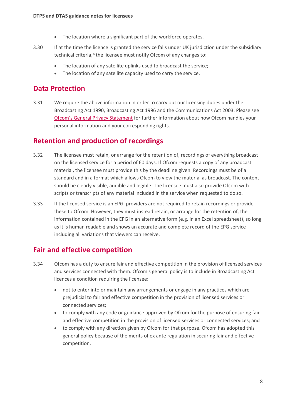- The location where a significant part of the workforce operates.
- 3.30 If at the time the licence is granted the service falls under UK jurisdiction under the subsidiary technical criteria,<sup>[6](#page-9-0)</sup> the licensee must notify Ofcom of any changes to:
	- The location of any satellite uplinks used to broadcast the service;
	- The location of any satellite capacity used to carry the service.

#### **Data Protection**

3.31 We require the above information in order to carry out our licensing duties under the Broadcasting Act 1990, Broadcasting Act 1996 and the Communications Act 2003. Please see [Ofcom's General Privacy Statement](https://www.ofcom.org.uk/about-ofcom/foi-dp/general-privacy-statement) for further information about how Ofcom handles your personal information and your corresponding rights.

#### **Retention and production of recordings**

- 3.32 The licensee must retain, or arrange for the retention of, recordings of everything broadcast on the licensed service for a period of 60 days. If Ofcom requests a copy of any broadcast material, the licensee must provide this by the deadline given. Recordings must be of a standard and in a format which allows Ofcom to view the material as broadcast. The content should be clearly visible, audible and legible. The licensee must also provide Ofcom with scripts or transcripts of any material included in the service when requested to do so.
- 3.33 If the licensed service is an EPG, providers are not required to retain recordings or provide these to Ofcom. However, they must instead retain, or arrange for the retention of, the information contained in the EPG in an alternative form (e.g. in an Excel spreadsheet), so long as it is human readable and shows an accurate and complete record of the EPG service including all variations that viewers can receive.

# **Fair and effective competition**

- <span id="page-9-0"></span>3.34 Ofcom has a duty to ensure fair and effective competition in the provision of licensed services and services connected with them. Ofcom's general policy is to include in Broadcasting Act licences a condition requiring the licensee:
	- not to enter into or maintain any arrangements or engage in any practices which are prejudicial to fair and effective competition in the provision of licensed services or connected services;
	- to comply with any code or guidance approved by Ofcom for the purpose of ensuring fair and effective competition in the provision of licensed services or connected services; and
	- to comply with any direction given by Ofcom for that purpose. Ofcom has adopted this general policy because of the merits of ex ante regulation in securing fair and effective competition.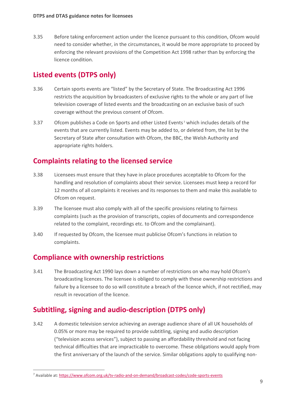3.35 Before taking enforcement action under the licence pursuant to this condition, Ofcom would need to consider whether, in the circumstances, it would be more appropriate to proceed by enforcing the relevant provisions of the Competition Act 1998 rather than by enforcing the licence condition.

# **Listed events (DTPS only)**

- 3.36 Certain sports events are "listed" by the Secretary of State. The Broadcasting Act 1996 restricts the acquisition by broadcasters of exclusive rights to the whole or any part of live television coverage of listed events and the broadcasting on an exclusive basis of such coverage without the previous consent of Ofcom.
- 3.3[7](#page-10-0) Ofcom publishes a Code on Sports and other Listed Events<sup>7</sup> which includes details of the events that are currently listed. Events may be added to, or deleted from, the list by the Secretary of State after consultation with Ofcom, the BBC, the Welsh Authority and appropriate rights holders.

## **Complaints relating to the licensed service**

- 3.38 Licensees must ensure that they have in place procedures acceptable to Ofcom for the handling and resolution of complaints about their service. Licensees must keep a record for 12 months of all complaints it receives and its responses to them and make this available to Ofcom on request.
- 3.39 The licensee must also comply with all of the specific provisions relating to fairness complaints (such as the provision of transcripts, copies of documents and correspondence related to the complaint, recordings etc. to Ofcom and the complainant).
- 3.40 If requested by Ofcom, the licensee must publicise Ofcom's functions in relation to complaints.

#### **Compliance with ownership restrictions**

3.41 The Broadcasting Act 1990 lays down a number of restrictions on who may hold Ofcom's broadcasting licences. The licensee is obliged to comply with these ownership restrictions and failure by a licensee to do so will constitute a breach of the licence which, if not rectified, may result in revocation of the licence.

# **Subtitling, signing and audio-description (DTPS only)**

3.42 A domestic television service achieving an average audience share of all UK households of 0.05% or more may be required to provide subtitling, signing and audio description ("television access services"), subject to passing an affordability threshold and not facing technical difficulties that are impracticable to overcome. These obligations would apply from the first anniversary of the launch of the service. Similar obligations apply to qualifying non-

<span id="page-10-0"></span><sup>7</sup> Available at[: https://www.ofcom.org.uk/tv-radio-and-on-demand/broadcast-codes/code-sports-events](https://www.ofcom.org.uk/tv-radio-and-on-demand/broadcast-codes/code-sports-events)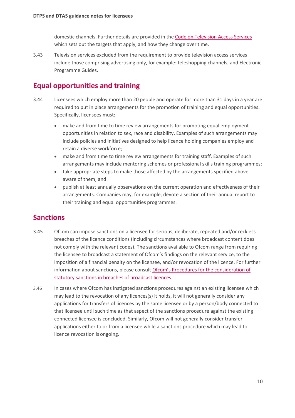domestic channels. Further details are provided in th[e Code on Television Access Services](https://www.ofcom.org.uk/tv-radio-and-on-demand/broadcast-codes/tv-access-services) which sets out the targets that apply, and how they change over time.

3.43 Television services excluded from the requirement to provide television access services include those comprising advertising only, for example: teleshopping channels, and Electronic Programme Guides.

#### **Equal opportunities and training**

- 3.44 Licensees which employ more than 20 people and operate for more than 31 days in a year are required to put in place arrangements for the promotion of training and equal opportunities. Specifically, licensees must:
	- make and from time to time review arrangements for promoting equal employment opportunities in relation to sex, race and disability. Examples of such arrangements may include policies and initiatives designed to help licence holding companies employ and retain a diverse workforce;
	- make and from time to time review arrangements for training staff. Examples of such arrangements may include mentoring schemes or professional skills training programmes;
	- take appropriate steps to make those affected by the arrangements specified above aware of them; and
	- publish at least annually observations on the current operation and effectiveness of their arrangements. Companies may, for example, devote a section of their annual report to their training and equal opportunities programmes.

#### **Sanctions**

- 3.45 Ofcom can impose sanctions on a licensee for serious, deliberate, repeated and/or reckless breaches of the licence conditions (including circumstances where broadcast content does not comply with the relevant codes). The sanctions available to Ofcom range from requiring the licensee to broadcast a statement of Ofcom's findings on the relevant service, to the imposition of a financial penalty on the licensee, and/or revocation of the licence. For further information about sanctions, please consul[t Ofcom's Procedures for the consideration of](https://www.ofcom.org.uk/__data/assets/pdf_file/0030/71967/Procedures_for_consideration.pdf)  [statutory sanctions in breaches of broadcast](https://www.ofcom.org.uk/__data/assets/pdf_file/0030/71967/Procedures_for_consideration.pdf) licences.
- 3.46 In cases where Ofcom has instigated sanctions procedures against an existing licensee which may lead to the revocation of any licences(s) it holds, it will not generally consider any applications for transfers of licences by the same licensee or by a person/body connected to that licensee until such time as that aspect of the sanctions procedure against the existing connected licensee is concluded. Similarly, Ofcom will not generally consider transfer applications either to or from a licensee while a sanctions procedure which may lead to licence revocation is ongoing.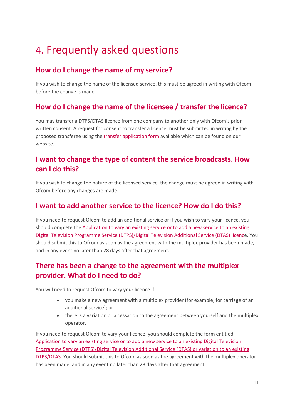# <span id="page-12-0"></span>4. Frequently asked questions

# **How do I change the name of my service?**

If you wish to change the name of the licensed service, this must be agreed in writing with Ofcom before the change is made.

# **How do I change the name of the licensee / transfer the licence?**

You may transfer a DTPS/DTAS licence from one company to another only with Ofcom's prior written consent. A request for consent to transfer a licence must be submitted in writing by the proposed transferee using the [transfer application form](https://www.ofcom.org.uk/manage-your-licence/tv-broadcast-licences/changes-to-tv-broadcast-licences) available which can be found on our website.

# **I want to change the type of content the service broadcasts. How can I do this?**

If you wish to change the nature of the licensed service, the change must be agreed in writing with Ofcom before any changes are made.

#### **I want to add another service to the licence? How do I do this?**

If you need to request Ofcom to add an additional service or if you wish to vary your licence, you should complete the Application to vary an existing [service or to add a new service to an existing](https://www.ofcom.org.uk/__data/assets/pdf_file/0026/56933/application-to-vary-or-add-new-dtpsdtas-licence.pdf)  [Digital Television Programme Service \(DTPS\)/Digital Television Additional Service \(DTAS\) licence](https://www.ofcom.org.uk/__data/assets/pdf_file/0026/56933/application-to-vary-or-add-new-dtpsdtas-licence.pdf). You should submit this to Ofcom as soon as the agreement with the multiplex provider has been made, and in any event no later than 28 days after that agreement.

# **There has been a change to the agreement with the multiplex provider. What do I need to do?**

You will need to request Ofcom to vary your licence if:

- you make a new agreement with a multiplex provider (for example, for carriage of an additional service); or
- there is a variation or a cessation to the agreement between yourself and the multiplex operator.

If you need to request Ofcom to vary your licence, you should complete the form entitled Application to vary an existing service or to add a new service to an existing Digital Television Programme Service (DTPS)/Digital Television Additional Service (DTAS) or variation to an existing DTPS/DTAS. You should submit this to Ofcom as soon as the agreement with the multiplex operator has been made, and in any event no later than 28 days after that agreement.